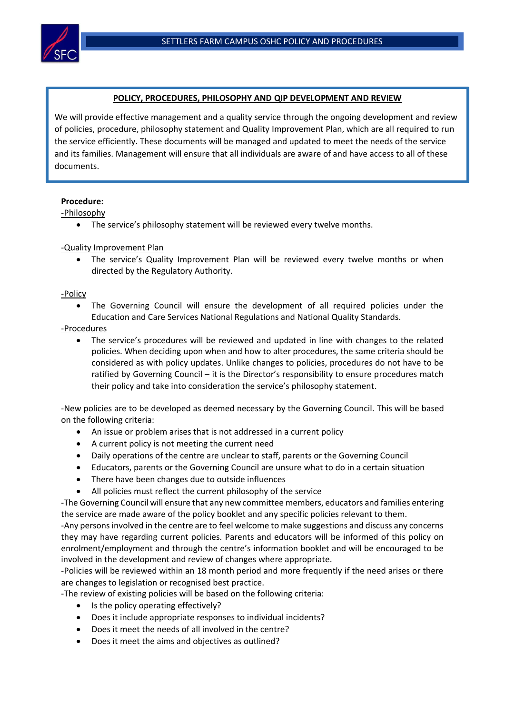

# **POLICY, PROCEDURES, PHILOSOPHY AND QIP DEVELOPMENT AND REVIEW**

We will provide effective management and a quality service through the ongoing development and review of policies, procedure, philosophy statement and Quality Improvement Plan, which are all required to run the service efficiently. These documents will be managed and updated to meet the needs of the service and its families. Management will ensure that all individuals are aware of and have access to all of these documents.

# **Procedure:**

-Philosophy

• The service's philosophy statement will be reviewed every twelve months.

# -Quality Improvement Plan

• The service's Quality Improvement Plan will be reviewed every twelve months or when directed by the Regulatory Authority.

-Policy

• The Governing Council will ensure the development of all required policies under the Education and Care Services National Regulations and National Quality Standards.

# -Procedures

The service's procedures will be reviewed and updated in line with changes to the related policies. When deciding upon when and how to alter procedures, the same criteria should be considered as with policy updates. Unlike changes to policies, procedures do not have to be ratified by Governing Council – it is the Director's responsibility to ensure procedures match their policy and take into consideration the service's philosophy statement.

-New policies are to be developed as deemed necessary by the Governing Council. This will be based on the following criteria:

- An issue or problem arises that is not addressed in a current policy
- A current policy is not meeting the current need
- Daily operations of the centre are unclear to staff, parents or the Governing Council
- Educators, parents or the Governing Council are unsure what to do in a certain situation
- There have been changes due to outside influences
- All policies must reflect the current philosophy of the service

-The Governing Council will ensure that any new committee members, educators and families entering the service are made aware of the policy booklet and any specific policies relevant to them.

-Any persons involved in the centre are to feel welcome to make suggestions and discuss any concerns they may have regarding current policies. Parents and educators will be informed of this policy on enrolment/employment and through the centre's information booklet and will be encouraged to be involved in the development and review of changes where appropriate.

-Policies will be reviewed within an 18 month period and more frequently if the need arises or there are changes to legislation or recognised best practice.

-The review of existing policies will be based on the following criteria:

- Is the policy operating effectively?
- Does it include appropriate responses to individual incidents?
- Does it meet the needs of all involved in the centre?
- Does it meet the aims and objectives as outlined?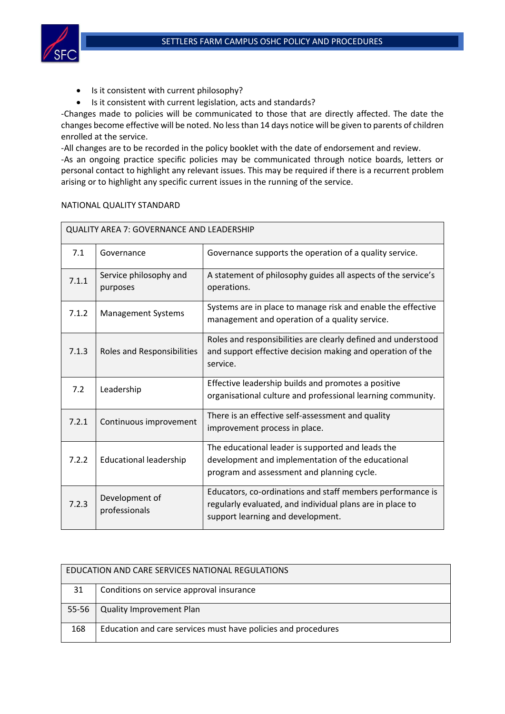

- Is it consistent with current philosophy?
- Is it consistent with current legislation, acts and standards?

-Changes made to policies will be communicated to those that are directly affected. The date the changes become effective will be noted. No less than 14 days notice will be given to parents of children enrolled at the service.

-All changes are to be recorded in the policy booklet with the date of endorsement and review.

-As an ongoing practice specific policies may be communicated through notice boards, letters or personal contact to highlight any relevant issues. This may be required if there is a recurrent problem arising or to highlight any specific current issues in the running of the service.

# NATIONAL QUALITY STANDARD

| <b>QUALITY AREA 7: GOVERNANCE AND LEADERSHIP</b> |                                    |                                                                                                                                                              |  |  |
|--------------------------------------------------|------------------------------------|--------------------------------------------------------------------------------------------------------------------------------------------------------------|--|--|
| 7.1                                              | Governance                         | Governance supports the operation of a quality service.                                                                                                      |  |  |
| 7.1.1                                            | Service philosophy and<br>purposes | A statement of philosophy guides all aspects of the service's<br>operations.                                                                                 |  |  |
| 7.1.2                                            | <b>Management Systems</b>          | Systems are in place to manage risk and enable the effective<br>management and operation of a quality service.                                               |  |  |
| 7.1.3                                            | Roles and Responsibilities         | Roles and responsibilities are clearly defined and understood<br>and support effective decision making and operation of the<br>service.                      |  |  |
| 7.2                                              | Leadership                         | Effective leadership builds and promotes a positive<br>organisational culture and professional learning community.                                           |  |  |
| 7.2.1                                            | Continuous improvement             | There is an effective self-assessment and quality<br>improvement process in place.                                                                           |  |  |
| 7.2.2                                            | <b>Educational leadership</b>      | The educational leader is supported and leads the<br>development and implementation of the educational<br>program and assessment and planning cycle.         |  |  |
| 7.2.3                                            | Development of<br>professionals    | Educators, co-ordinations and staff members performance is<br>regularly evaluated, and individual plans are in place to<br>support learning and development. |  |  |

| EDUCATION AND CARE SERVICES NATIONAL REGULATIONS |                                                               |  |  |
|--------------------------------------------------|---------------------------------------------------------------|--|--|
| 31                                               | Conditions on service approval insurance                      |  |  |
| 55-56                                            | Quality Improvement Plan                                      |  |  |
| 168                                              | Education and care services must have policies and procedures |  |  |